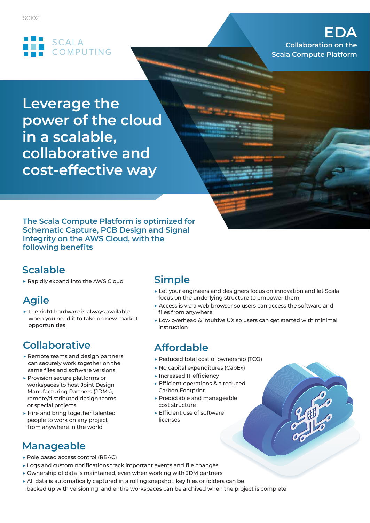

**Scala Compute Platform EDA Collaboration on the**

**Leverage the power of the cloud in a scalable, collaborative and cost-effective way**

**The Scala Compute Platform is optimized for Schematic Capture, PCB Design and Signal Integrity on the AWS Cloud, with the following benefits**

# **Scalable**

**▶** Rapidly expand into the AWS Cloud

# **Agile**

**▶** The right hardware is always available when you need it to take on new market opportunities

# **Collaborative**

- **▶** Remote teams and design partners can securely work together on the same files and software versions
- **▶** Provision secure platforms or workspaces to host Joint Design Manufacturing Partners (JDMs), remote/distributed design teams or special projects
- **▶** Hire and bring together talented people to work on any project from anywhere in the world

# **Manageable**

- **▶** Role based access control (RBAC)
- **▶** Logs and custom notifications track important events and file changes
- **▶** Ownership of data is maintained, even when working with JDM partners
- **▶** All data is automatically captured in a rolling snapshot, key files or folders can be backed up with versioning and entire workspaces can be archived when the project is complete

### **Simple**

- **▶** Let your engineers and designers focus on innovation and let Scala focus on the underlying structure to empower them
- **▶** Access is via a web browser so users can access the software and files from anywhere
- **▶** Low overhead & intuitive UX so users can get started with minimal instruction

## **Affordable**

- **▶** Reduced total cost of ownership (TCO)
- **▶** No capital expenditures (CapEx)
- **▶** Increased IT efficiency
- **▶** Efficient operations & a reduced Carbon Footprint
- **▶** Predictable and manageable cost structure
- **▶** Efficient use of software licenses